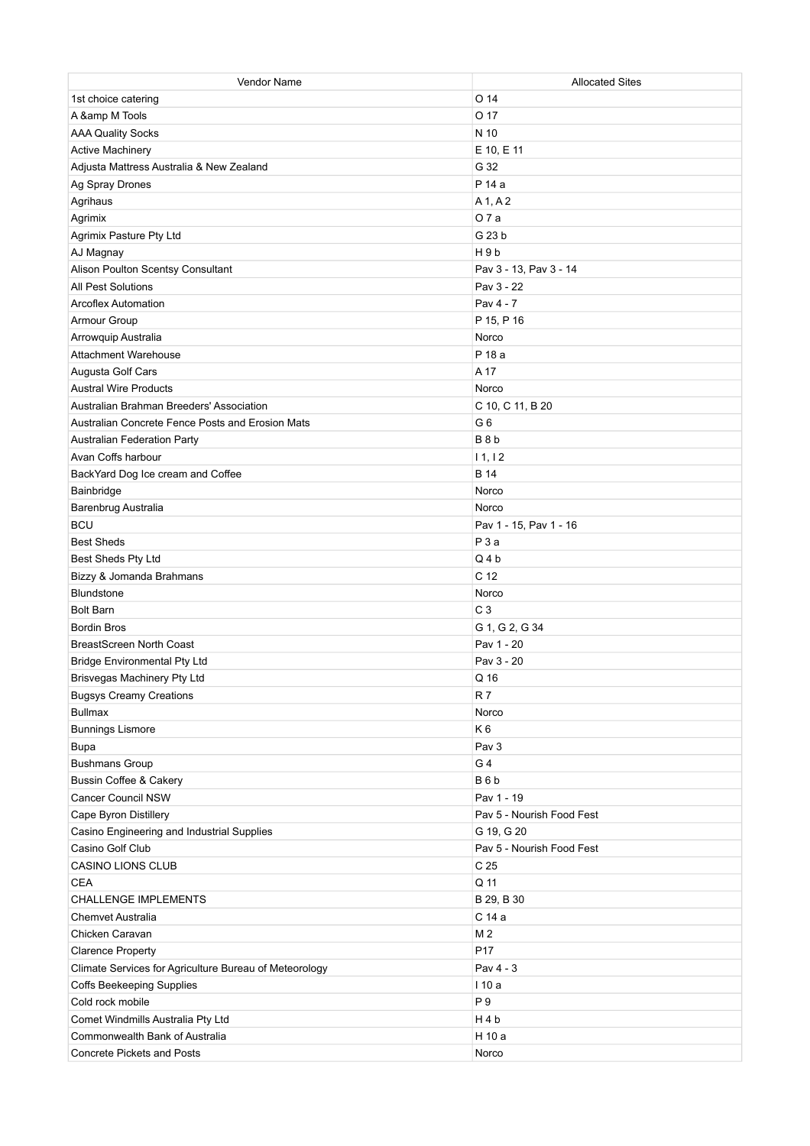| Vendor Name                                            | <b>Allocated Sites</b>    |
|--------------------------------------------------------|---------------------------|
| 1st choice catering                                    | O <sub>14</sub>           |
| A & M Tools                                            | O 17                      |
| <b>AAA Quality Socks</b>                               | N 10                      |
| <b>Active Machinery</b>                                | E 10, E 11                |
| Adjusta Mattress Australia & New Zealand               | G 32                      |
| Ag Spray Drones                                        | P 14 a                    |
| Agrihaus                                               | A 1, A 2                  |
| Agrimix                                                | O 7 a                     |
| Agrimix Pasture Pty Ltd                                | G 23 b                    |
| AJ Magnay                                              | H9b                       |
| Alison Poulton Scentsy Consultant                      | Pav 3 - 13, Pav 3 - 14    |
| <b>All Pest Solutions</b>                              | Pav 3 - 22                |
| <b>Arcoflex Automation</b>                             | Pav 4 - 7                 |
| Armour Group                                           | P 15, P 16                |
| Arrowquip Australia                                    | Norco                     |
| <b>Attachment Warehouse</b>                            | P 18 a                    |
| Augusta Golf Cars                                      | A 17                      |
| <b>Austral Wire Products</b>                           | Norco                     |
| Australian Brahman Breeders' Association               | C 10, C 11, B 20          |
| Australian Concrete Fence Posts and Erosion Mats       | G <sub>6</sub>            |
| Australian Federation Party                            | B <sub>8</sub> b          |
| Avan Coffs harbour                                     | 11, 12                    |
| BackYard Dog Ice cream and Coffee                      | <b>B</b> 14               |
| Bainbridge                                             | Norco                     |
| Barenbrug Australia                                    | Norco                     |
| <b>BCU</b>                                             | Pav 1 - 15, Pav 1 - 16    |
| <b>Best Sheds</b>                                      | P3a                       |
| Best Sheds Pty Ltd                                     | $Q_4b$                    |
| Bizzy & Jomanda Brahmans                               | C <sub>12</sub>           |
| <b>Blundstone</b>                                      | Norco                     |
| <b>Bolt Barn</b>                                       | C <sub>3</sub>            |
| <b>Bordin Bros</b>                                     | G 1, G 2, G 34            |
| <b>BreastScreen North Coast</b>                        | Pav 1 - 20                |
| <b>Bridge Environmental Pty Ltd</b>                    | Pav 3 - 20                |
| Brisvegas Machinery Pty Ltd                            | Q 16                      |
| <b>Bugsys Creamy Creations</b>                         | R7                        |
| <b>Bullmax</b>                                         | Norco                     |
| <b>Bunnings Lismore</b>                                | K6                        |
| <b>Bupa</b>                                            | Pav 3                     |
| <b>Bushmans Group</b>                                  | G 4                       |
| <b>Bussin Coffee &amp; Cakery</b>                      | B6b                       |
| <b>Cancer Council NSW</b>                              | Pav 1 - 19                |
|                                                        |                           |
| Cape Byron Distillery                                  | Pav 5 - Nourish Food Fest |
| Casino Engineering and Industrial Supplies             | G 19, G 20                |
| Casino Golf Club                                       | Pav 5 - Nourish Food Fest |
| <b>CASINO LIONS CLUB</b>                               | C <sub>25</sub>           |
| <b>CEA</b>                                             | Q 11                      |
| <b>CHALLENGE IMPLEMENTS</b>                            | B 29, B 30                |
| <b>Chemvet Australia</b>                               | C 14 a                    |
| Chicken Caravan                                        | M <sub>2</sub>            |
| <b>Clarence Property</b>                               | P17                       |
| Climate Services for Agriculture Bureau of Meteorology | Pav 4 - 3                 |
| <b>Coffs Beekeeping Supplies</b>                       | 110 a                     |
| Cold rock mobile                                       | P 9                       |
| Comet Windmills Australia Pty Ltd                      | H4b                       |
| Commonwealth Bank of Australia                         | H 10 a                    |
| <b>Concrete Pickets and Posts</b>                      | Norco                     |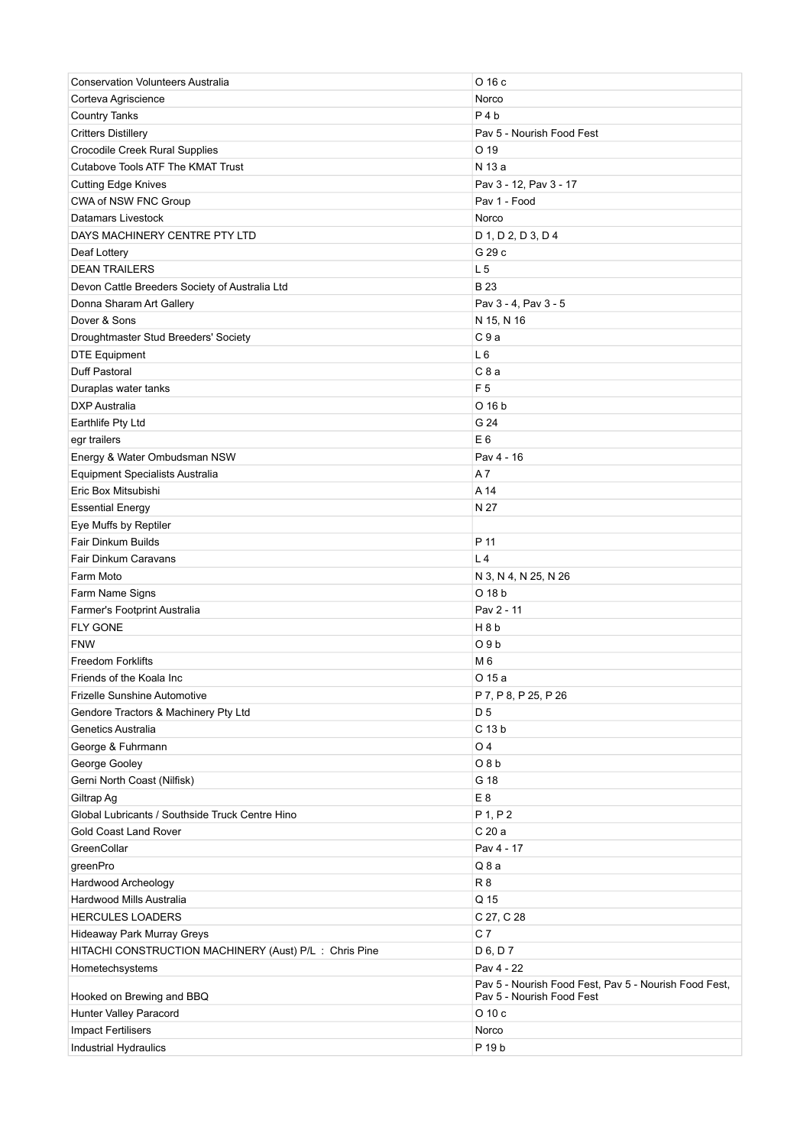| <b>Conservation Volunteers Australia</b>              | O 16 c                                                                             |
|-------------------------------------------------------|------------------------------------------------------------------------------------|
| Corteva Agriscience                                   | Norco                                                                              |
| <b>Country Tanks</b>                                  | $P_4b$                                                                             |
| <b>Critters Distillery</b>                            | Pav 5 - Nourish Food Fest                                                          |
| Crocodile Creek Rural Supplies                        | O <sub>19</sub>                                                                    |
| <b>Cutabove Tools ATF The KMAT Trust</b>              | N 13 a                                                                             |
| <b>Cutting Edge Knives</b>                            | Pav 3 - 12, Pav 3 - 17                                                             |
| CWA of NSW FNC Group                                  | Pav 1 - Food                                                                       |
| Datamars Livestock                                    | Norco                                                                              |
| DAYS MACHINERY CENTRE PTY LTD                         | D 1, D 2, D 3, D 4                                                                 |
| Deaf Lottery                                          | G 29 c                                                                             |
| <b>DEAN TRAILERS</b>                                  | L <sub>5</sub>                                                                     |
| Devon Cattle Breeders Society of Australia Ltd        | <b>B23</b>                                                                         |
| Donna Sharam Art Gallery                              | Pav 3 - 4, Pav 3 - 5                                                               |
| Dover & Sons                                          | N 15, N 16                                                                         |
| Droughtmaster Stud Breeders' Society                  | C9a                                                                                |
| <b>DTE Equipment</b>                                  | L6                                                                                 |
| Duff Pastoral                                         | C8a                                                                                |
| Duraplas water tanks                                  | F <sub>5</sub>                                                                     |
| <b>DXP</b> Australia                                  | O 16 b                                                                             |
| Earthlife Pty Ltd                                     | G 24                                                                               |
| egr trailers                                          | E <sub>6</sub>                                                                     |
| Energy & Water Ombudsman NSW                          | Pav 4 - 16                                                                         |
| <b>Equipment Specialists Australia</b>                | A 7                                                                                |
| Eric Box Mitsubishi                                   | A 14                                                                               |
| <b>Essential Energy</b>                               | N 27                                                                               |
| Eye Muffs by Reptiler                                 |                                                                                    |
| <b>Fair Dinkum Builds</b>                             | P 11                                                                               |
| Fair Dinkum Caravans                                  | L <sub>4</sub>                                                                     |
| Farm Moto                                             | N 3, N 4, N 25, N 26                                                               |
| Farm Name Signs                                       | O 18 b                                                                             |
| Farmer's Footprint Australia                          | Pav 2 - 11                                                                         |
| <b>FLY GONE</b>                                       | H 8 b                                                                              |
| <b>FNW</b>                                            | O <sub>9</sub> b                                                                   |
| <b>Freedom Forklifts</b>                              | M 6                                                                                |
| Friends of the Koala Inc                              | O 15 a                                                                             |
| <b>Frizelle Sunshine Automotive</b>                   | P 7, P 8, P 25, P 26                                                               |
| Gendore Tractors & Machinery Pty Ltd                  | D 5                                                                                |
| Genetics Australia                                    | C 13 b                                                                             |
| George & Fuhrmann                                     | O <sub>4</sub>                                                                     |
| George Gooley                                         | O8b                                                                                |
| Gerni North Coast (Nilfisk)                           | G 18                                                                               |
| Giltrap Ag                                            | E <sub>8</sub>                                                                     |
| Global Lubricants / Southside Truck Centre Hino       | $P$ 1, $P$ 2                                                                       |
| <b>Gold Coast Land Rover</b>                          | C 20 a                                                                             |
| GreenCollar                                           | Pav 4 - 17                                                                         |
| greenPro                                              | Q8a                                                                                |
| Hardwood Archeology                                   | R8                                                                                 |
| Hardwood Mills Australia                              | Q 15                                                                               |
| <b>HERCULES LOADERS</b>                               | C 27, C 28                                                                         |
| Hideaway Park Murray Greys                            | C <sub>7</sub>                                                                     |
| HITACHI CONSTRUCTION MACHINERY (Aust) P/L: Chris Pine | D 6, D 7                                                                           |
| Hometechsystems                                       | Pav 4 - 22                                                                         |
| Hooked on Brewing and BBQ                             | Pav 5 - Nourish Food Fest, Pav 5 - Nourish Food Fest,<br>Pav 5 - Nourish Food Fest |
| Hunter Valley Paracord                                | $O$ 10 $c$                                                                         |
| <b>Impact Fertilisers</b>                             | Norco                                                                              |
| Industrial Hydraulics                                 | P 19 b                                                                             |
|                                                       |                                                                                    |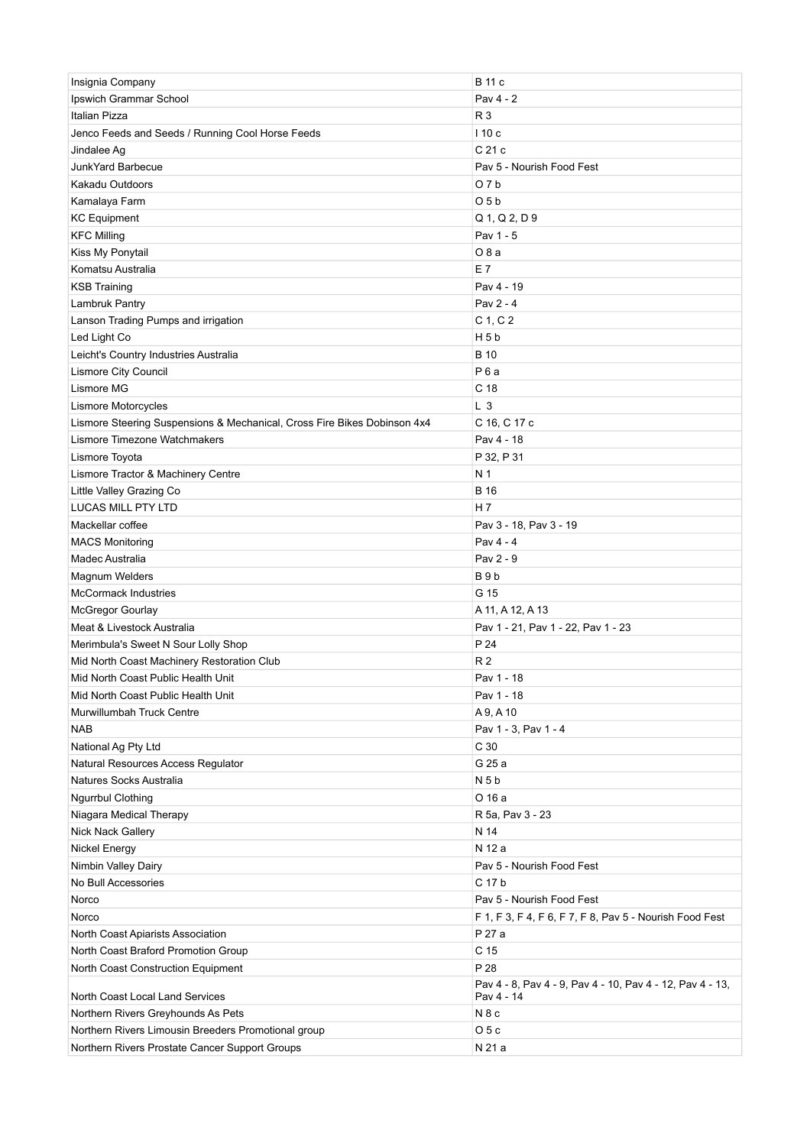| Insignia Company                                                         | B 11 c                                                            |
|--------------------------------------------------------------------------|-------------------------------------------------------------------|
| Ipswich Grammar School                                                   | Pav 4 - 2                                                         |
| Italian Pizza                                                            | R 3                                                               |
| Jenco Feeds and Seeds / Running Cool Horse Feeds                         | 110c                                                              |
| Jindalee Ag                                                              | C 21 c                                                            |
| JunkYard Barbecue                                                        | Pay 5 - Nourish Food Fest                                         |
| Kakadu Outdoors                                                          | O7b                                                               |
| Kamalaya Farm                                                            | O <sub>5</sub> b                                                  |
| <b>KC</b> Equipment                                                      | $Q$ 1, $Q$ 2, $D$ 9                                               |
| <b>KFC Milling</b>                                                       | Pav 1 - 5                                                         |
| Kiss My Ponytail                                                         | O 8 a                                                             |
| Komatsu Australia                                                        | E 7                                                               |
| <b>KSB Training</b>                                                      | Pav 4 - 19                                                        |
| Lambruk Pantry                                                           | Pav 2 - 4                                                         |
| Lanson Trading Pumps and irrigation                                      | C 1, C 2                                                          |
| Led Light Co                                                             | H <sub>5</sub> b                                                  |
| Leicht's Country Industries Australia                                    | <b>B</b> 10                                                       |
| Lismore City Council                                                     | P <sub>6</sub> a                                                  |
| Lismore MG                                                               | C <sub>18</sub>                                                   |
| Lismore Motorcycles                                                      | L <sub>3</sub>                                                    |
| Lismore Steering Suspensions & Mechanical, Cross Fire Bikes Dobinson 4x4 | C 16, C 17 c                                                      |
| Lismore Timezone Watchmakers                                             | Pav 4 - 18                                                        |
| Lismore Toyota                                                           | P 32, P 31                                                        |
| Lismore Tractor & Machinery Centre                                       | N <sub>1</sub>                                                    |
| Little Valley Grazing Co                                                 | <b>B</b> 16                                                       |
| <b>LUCAS MILL PTY LTD</b>                                                | H 7                                                               |
| Mackellar coffee                                                         | Pav 3 - 18, Pav 3 - 19                                            |
| <b>MACS Monitoring</b>                                                   | Pav 4 - 4                                                         |
| Madec Australia                                                          | Pav 2 - 9                                                         |
| Magnum Welders                                                           | B <sub>9</sub> b                                                  |
| <b>McCormack Industries</b>                                              | G 15                                                              |
| <b>McGregor Gourlay</b>                                                  | A 11, A 12, A 13                                                  |
| Meat & Livestock Australia                                               | Pav 1 - 21, Pav 1 - 22, Pav 1 - 23                                |
| Merimbula's Sweet N Sour Lolly Shop                                      | P 24                                                              |
| Mid North Coast Machinery Restoration Club                               | <b>R2</b>                                                         |
| Mid North Coast Public Health Unit                                       | Pav 1 - 18                                                        |
| Mid North Coast Public Health Unit                                       | Pav 1 - 18                                                        |
| Murwillumbah Truck Centre                                                | A 9, A 10                                                         |
| <b>NAB</b>                                                               | Pav 1 - 3, Pav 1 - 4                                              |
| National Ag Pty Ltd                                                      | C <sub>30</sub>                                                   |
| Natural Resources Access Regulator                                       | G 25 a                                                            |
| Natures Socks Australia                                                  | N <sub>5</sub> b                                                  |
| <b>Ngurrbul Clothing</b>                                                 | O 16 a                                                            |
| Niagara Medical Therapy                                                  | R 5a, Pav 3 - 23                                                  |
| Nick Nack Gallery                                                        | N 14                                                              |
| <b>Nickel Energy</b>                                                     | N 12 a                                                            |
| Nimbin Valley Dairy                                                      | Pav 5 - Nourish Food Fest                                         |
| No Bull Accessories                                                      | C 17 b                                                            |
| Norco                                                                    | Pav 5 - Nourish Food Fest                                         |
|                                                                          |                                                                   |
| Norco<br>North Coast Apiarists Association                               | F 1, F 3, F 4, F 6, F 7, F 8, Pav 5 - Nourish Food Fest<br>P 27 a |
| North Coast Braford Promotion Group                                      | C 15                                                              |
| North Coast Construction Equipment                                       | P 28                                                              |
|                                                                          | Pav 4 - 8, Pav 4 - 9, Pav 4 - 10, Pav 4 - 12, Pav 4 - 13,         |
| North Coast Local Land Services                                          | Pav 4 - 14                                                        |
| Northern Rivers Greyhounds As Pets                                       | N <sub>8</sub> c                                                  |
| Northern Rivers Limousin Breeders Promotional group                      | O <sub>5c</sub>                                                   |
| Northern Rivers Prostate Cancer Support Groups                           | N 21 a                                                            |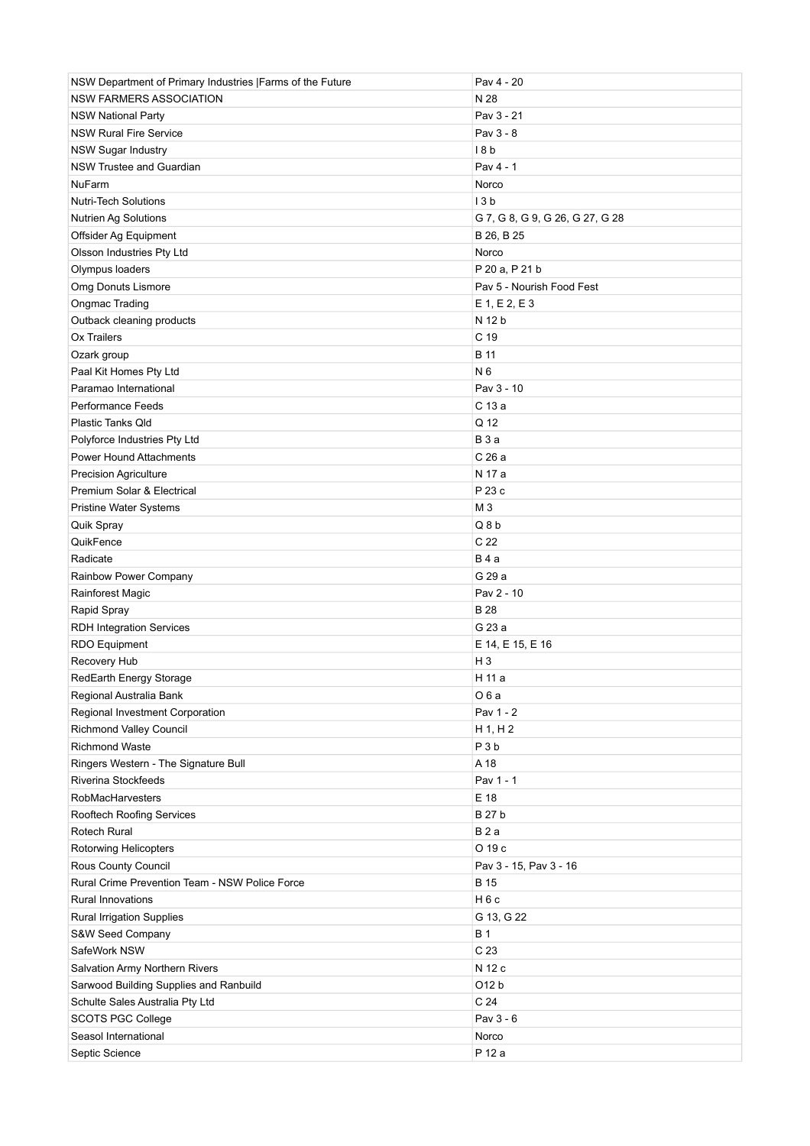| NSW Department of Primary Industries   Farms of the Future | Pav 4 - 20                      |
|------------------------------------------------------------|---------------------------------|
| <b>NSW FARMERS ASSOCIATION</b>                             | N 28                            |
| <b>NSW National Party</b>                                  | Pav 3 - 21                      |
| <b>NSW Rural Fire Service</b>                              | Pav 3 - 8                       |
| <b>NSW Sugar Industry</b>                                  | 18b                             |
| NSW Trustee and Guardian                                   | Pav 4 - 1                       |
| <b>NuFarm</b>                                              | Norco                           |
| <b>Nutri-Tech Solutions</b>                                | 13 <sub>b</sub>                 |
| <b>Nutrien Ag Solutions</b>                                | G 7, G 8, G 9, G 26, G 27, G 28 |
| Offsider Ag Equipment                                      | B 26, B 25                      |
| Olsson Industries Pty Ltd                                  | Norco                           |
| Olympus loaders                                            | P 20 a, P 21 b                  |
| Omg Donuts Lismore                                         | Pav 5 - Nourish Food Fest       |
| Ongmac Trading                                             | $E$ 1, $E$ 2, $E$ 3             |
| Outback cleaning products                                  | N 12 b                          |
| Ox Trailers                                                | C <sub>19</sub>                 |
| Ozark group                                                | <b>B</b> 11                     |
| Paal Kit Homes Pty Ltd                                     | N 6                             |
| Paramao International                                      | Pav 3 - 10                      |
| <b>Performance Feeds</b>                                   | C 13 a                          |
| Plastic Tanks Qld                                          | Q 12                            |
| Polyforce Industries Pty Ltd                               | <b>B</b> 3 a                    |
| <b>Power Hound Attachments</b>                             | C 26 a                          |
| <b>Precision Agriculture</b>                               | N 17 a                          |
| Premium Solar & Electrical                                 | P 23 c                          |
| Pristine Water Systems                                     | M <sub>3</sub>                  |
| Quik Spray                                                 | Q8b                             |
| QuikFence                                                  | C 22                            |
| Radicate                                                   | <b>B</b> 4 a                    |
| Rainbow Power Company                                      | G 29 a                          |
| <b>Rainforest Magic</b>                                    | Pav 2 - 10                      |
| Rapid Spray                                                | <b>B28</b>                      |
| <b>RDH Integration Services</b>                            | G 23 a                          |
| <b>RDO Equipment</b>                                       | E 14, E 15, E 16                |
| Recovery Hub                                               | $H_3$                           |
| RedEarth Energy Storage                                    | H 11 a                          |
| Regional Australia Bank                                    | O6a                             |
| Regional Investment Corporation                            | Pav 1 - 2                       |
| <b>Richmond Valley Council</b>                             | $H$ 1, H 2                      |
| <b>Richmond Waste</b>                                      | P <sub>3</sub> b                |
| Ringers Western - The Signature Bull                       | A 18                            |
| Riverina Stockfeeds                                        | Pav 1 - 1                       |
| RobMacHarvesters                                           | E 18                            |
| Rooftech Roofing Services                                  | <b>B27b</b>                     |
| Rotech Rural                                               | B2a                             |
| Rotorwing Helicopters                                      | O 19 c                          |
| Rous County Council                                        | Pav 3 - 15, Pav 3 - 16          |
| Rural Crime Prevention Team - NSW Police Force             | <b>B</b> 15                     |
| <b>Rural Innovations</b>                                   | H6c                             |
| <b>Rural Irrigation Supplies</b>                           | G 13, G 22                      |
| S&W Seed Company                                           | <b>B1</b>                       |
| SafeWork NSW                                               | C 23                            |
| Salvation Army Northern Rivers                             | N 12 c                          |
| Sarwood Building Supplies and Ranbuild                     | O12 b                           |
| Schulte Sales Australia Pty Ltd                            | C <sub>24</sub>                 |
| <b>SCOTS PGC College</b>                                   | Pav 3 - 6                       |
| Seasol International                                       | Norco                           |
| Septic Science                                             | P 12 a                          |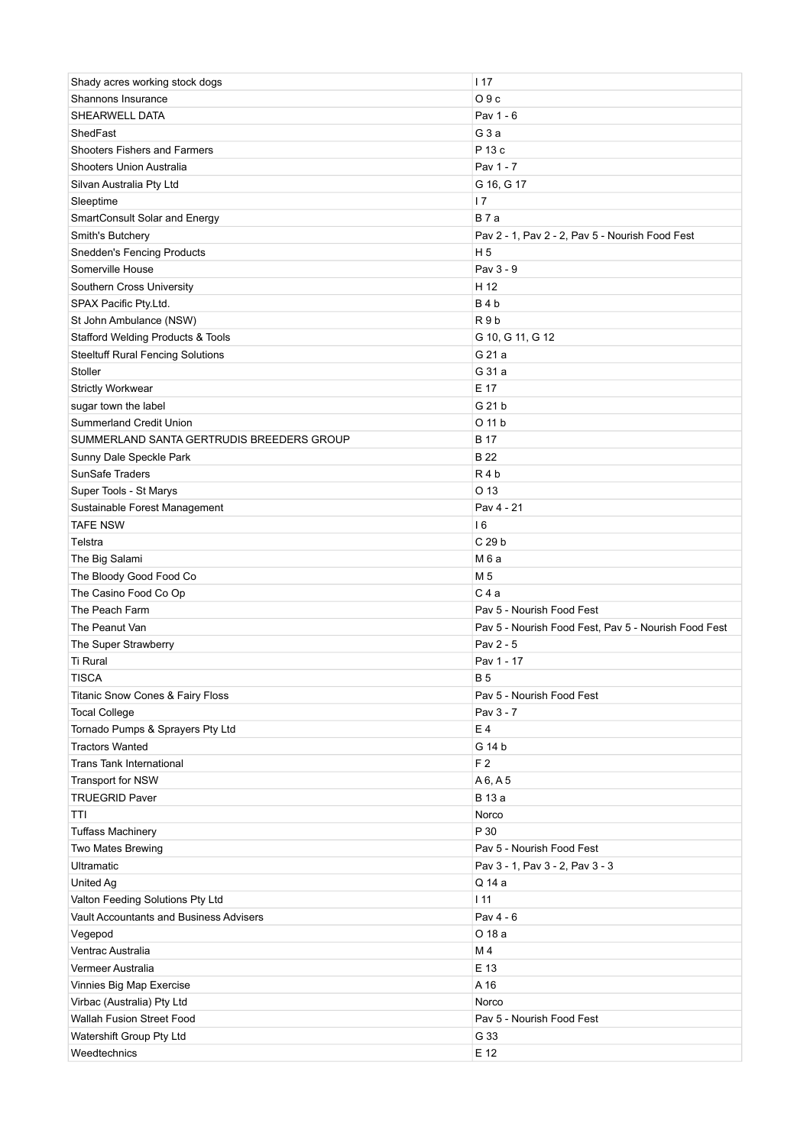| Shady acres working stock dogs                          | 117                                                  |
|---------------------------------------------------------|------------------------------------------------------|
| Shannons Insurance                                      | O9c                                                  |
| SHEARWELL DATA                                          | Pav 1 - 6                                            |
| ShedFast                                                | G <sub>3</sub> a                                     |
| <b>Shooters Fishers and Farmers</b>                     | P 13 c                                               |
| Shooters Union Australia                                | Pav 1 - 7                                            |
| Silvan Australia Pty Ltd                                | G 16, G 17                                           |
| Sleeptime                                               | 17                                                   |
| SmartConsult Solar and Energy                           | B 7 a                                                |
| Smith's Butchery                                        | Pav 2 - 1, Pav 2 - 2, Pav 5 - Nourish Food Fest      |
| <b>Snedden's Fencing Products</b>                       | H <sub>5</sub>                                       |
| Somerville House                                        | Pav 3 - 9                                            |
| Southern Cross University                               | H 12                                                 |
| SPAX Pacific Pty.Ltd.                                   | B4b                                                  |
| St John Ambulance (NSW)                                 | R <sub>9</sub> b                                     |
| <b>Stafford Welding Products &amp; Tools</b>            | G 10, G 11, G 12                                     |
| <b>Steeltuff Rural Fencing Solutions</b>                | G 21 a                                               |
| Stoller                                                 | G 31 a                                               |
| <b>Strictly Workwear</b>                                | E 17                                                 |
| sugar town the label                                    | G 21 b                                               |
| Summerland Credit Union                                 | O 11 b                                               |
| SUMMERLAND SANTA GERTRUDIS BREEDERS GROUP               | <b>B</b> 17                                          |
| Sunny Dale Speckle Park                                 | B 22                                                 |
| <b>SunSafe Traders</b>                                  | R4b                                                  |
|                                                         | O 13                                                 |
| Super Tools - St Marys<br>Sustainable Forest Management | Pav 4 - 21                                           |
| <b>TAFE NSW</b>                                         | 16                                                   |
|                                                         | C 29 b                                               |
| Telstra                                                 |                                                      |
| The Big Salami                                          | M 6 a                                                |
| The Bloody Good Food Co                                 | M 5                                                  |
| The Casino Food Co Op                                   | C 4 a                                                |
| The Peach Farm                                          | Pav 5 - Nourish Food Fest                            |
| The Peanut Van                                          | Pav 5 - Nourish Food Fest, Pav 5 - Nourish Food Fest |
| The Super Strawberry                                    | Pav 2 - 5                                            |
| <b>Ti Rural</b>                                         | Pav 1 - 17                                           |
| <b>TISCA</b>                                            | <b>B5</b>                                            |
| Titanic Snow Cones & Fairy Floss                        | Pav 5 - Nourish Food Fest                            |
| <b>Tocal College</b>                                    | Pav 3 - 7                                            |
| Tornado Pumps & Sprayers Pty Ltd                        | E 4                                                  |
| <b>Tractors Wanted</b>                                  | G 14 b                                               |
| <b>Trans Tank International</b>                         | F <sub>2</sub>                                       |
| Transport for NSW                                       | A6, A5                                               |
| <b>TRUEGRID Paver</b>                                   | <b>B</b> 13 a                                        |
| TTI                                                     | Norco                                                |
| <b>Tuffass Machinery</b>                                | P 30                                                 |
| Two Mates Brewing                                       | Pav 5 - Nourish Food Fest                            |
| <b>Ultramatic</b>                                       | Pav 3 - 1, Pav 3 - 2, Pav 3 - 3                      |
| United Ag                                               | Q 14 a                                               |
| Valton Feeding Solutions Pty Ltd                        | 111                                                  |
| Vault Accountants and Business Advisers                 | Pav 4 - 6                                            |
| Vegepod                                                 | O 18 a                                               |
| Ventrac Australia                                       | M 4                                                  |
| Vermeer Australia                                       | E 13                                                 |
| Vinnies Big Map Exercise                                | A 16                                                 |
| Virbac (Australia) Pty Ltd                              | Norco                                                |
| Wallah Fusion Street Food                               | Pav 5 - Nourish Food Fest                            |
| Watershift Group Pty Ltd                                | G 33                                                 |
| Weedtechnics                                            | E 12                                                 |